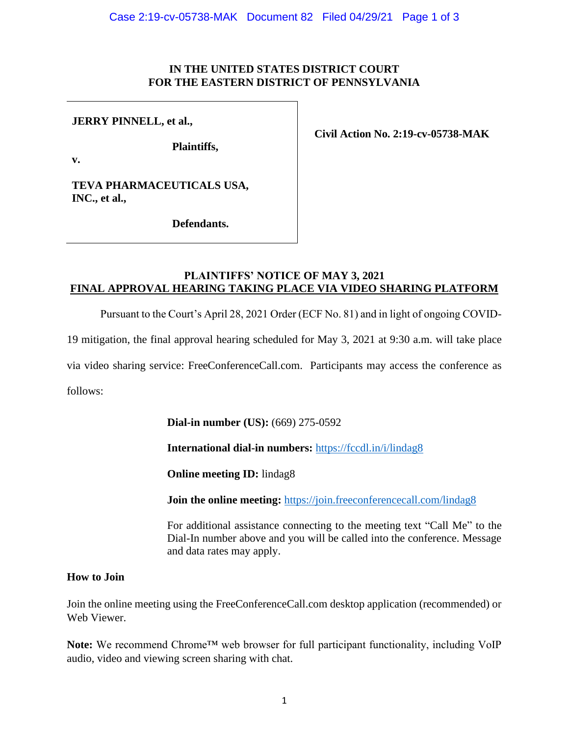#### **IN THE UNITED STATES DISTRICT COURT FOR THE EASTERN DISTRICT OF PENNSYLVANIA**

### **JERRY PINNELL, et al.,**

**Plaintiffs,**

**Civil Action No. 2:19-cv-05738-MAK**

**v.**

**TEVA PHARMACEUTICALS USA, INC., et al.,** 

**Defendants.**

## **PLAINTIFFS' NOTICE OF MAY 3, 2021 FINAL APPROVAL HEARING TAKING PLACE VIA VIDEO SHARING PLATFORM**

Pursuant to the Court's April 28, 2021 Order (ECF No. 81) and in light of ongoing COVID-

19 mitigation, the final approval hearing scheduled for May 3, 2021 at 9:30 a.m. will take place

via video sharing service: FreeConferenceCall.com. Participants may access the conference as

follows:

**Dial-in number (US):** (669) 275-0592

**International dial-in numbers:** <https://fccdl.in/i/lindag8>

**Online meeting ID:** lindag8

**Join the online meeting:** <https://join.freeconferencecall.com/lindag8>

For additional assistance connecting to the meeting text "Call Me" to the Dial-In number above and you will be called into the conference. Message and data rates may apply.

### **How to Join**

Join the online meeting using the FreeConferenceCall.com desktop application (recommended) or Web Viewer.

Note: We recommend Chrome™ web browser for full participant functionality, including VoIP audio, video and viewing screen sharing with chat.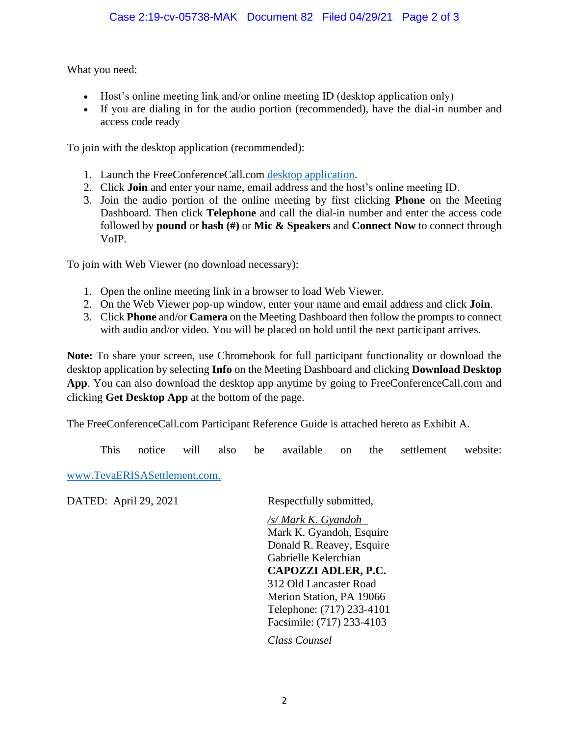What you need:

- Host's online meeting link and/or online meeting ID (desktop application only)
- If you are dialing in for the audio portion (recommended), have the dial-in number and access code ready

To join with the desktop application (recommended):

- 1. Launch the FreeConferenceCall.com [desktop application.](javascript://)
- 2. Click **Join** and enter your name, email address and the host's online meeting ID.
- 3. Join the audio portion of the online meeting by first clicking **Phone** on the Meeting Dashboard. Then click **Telephone** and call the dial-in number and enter the access code followed by **pound** or **hash (#)** or **Mic & Speakers** and **Connect Now** to connect through VoIP.

To join with Web Viewer (no download necessary):

- 1. Open the online meeting link in a browser to load Web Viewer.
- 2. On the Web Viewer pop-up window, enter your name and email address and click **Join**.
- 3. Click **Phone** and/or **Camera** on the Meeting Dashboard then follow the prompts to connect with audio and/or video. You will be placed on hold until the next participant arrives.

**Note:** To share your screen, use Chromebook for full participant functionality or download the desktop application by selecting **Info** on the Meeting Dashboard and clicking **Download Desktop**  App. You can also download the desktop app anytime by going to FreeConferenceCall.com and clicking **Get Desktop App** at the bottom of the page.

The FreeConferenceCall.com Participant Reference Guide is attached hereto as Exhibit A.

This notice will also be available on the settlement website:

[www.TevaERISASettlement.com.](http://www.tevaerisasettlement.com/)

DATED: April 29, 2021 Respectfully submitted,

*/s/ Mark K. Gyandoh* Mark K. Gyandoh, Esquire Donald R. Reavey, Esquire Gabrielle Kelerchian **CAPOZZI ADLER, P.C.** 312 Old Lancaster Road Merion Station, PA 19066 Telephone: (717) 233-4101 Facsimile: (717) 233-4103

*Class Counsel*